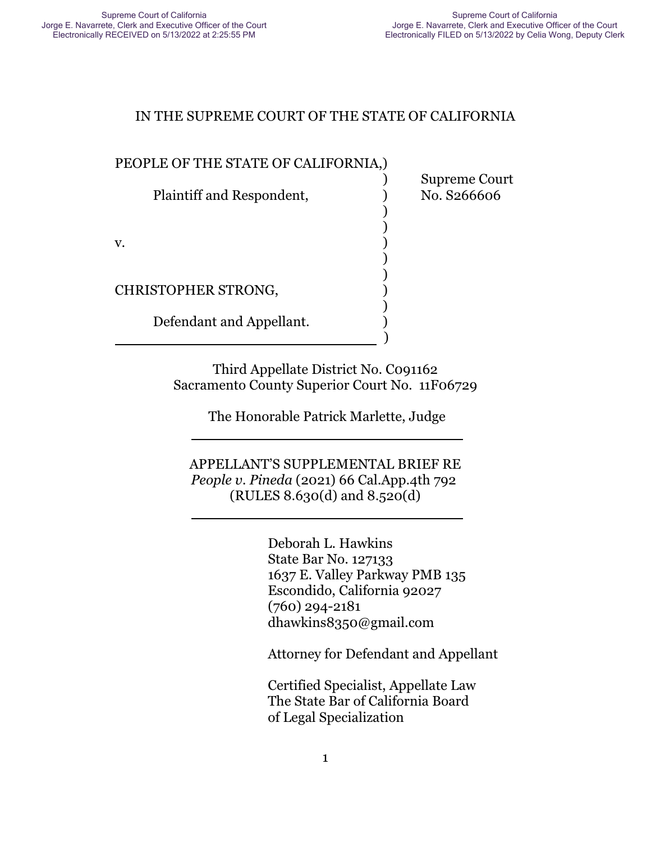) Supreme Court

#### IN THE SUPREME COURT OF THE STATE OF CALIFORNIA

) )

) )

)

#### PEOPLE OF THE STATE OF CALIFORNIA,)

Plaintiff and Respondent,  $\qquad \qquad$  No. S266606

 $\mathbf v.$  )

CHRISTOPHER STRONG, )

l

 $\overline{\phantom{a}}$ 

Defendant and Appellant.

) and the contract of  $\overline{\phantom{a}}$  (  $\overline{\phantom{a}}$  )

Third Appellate District No. C091162 Sacramento County Superior Court No. 11F06729

The Honorable Patrick Marlette, Judge

APPELLANT'S SUPPLEMENTAL BRIEF RE *People v. Pineda* (2021) 66 Cal.App.4th 792 (RULES 8.630(d) and 8.520(d)

> Deborah L. Hawkins State Bar No. 127133 1637 E. Valley Parkway PMB 135 Escondido, California 92027 (760) 294-2181 dhawkins8350@gmail.com

Attorney for Defendant and Appellant

Certified Specialist, Appellate Law The State Bar of California Board of Legal Specialization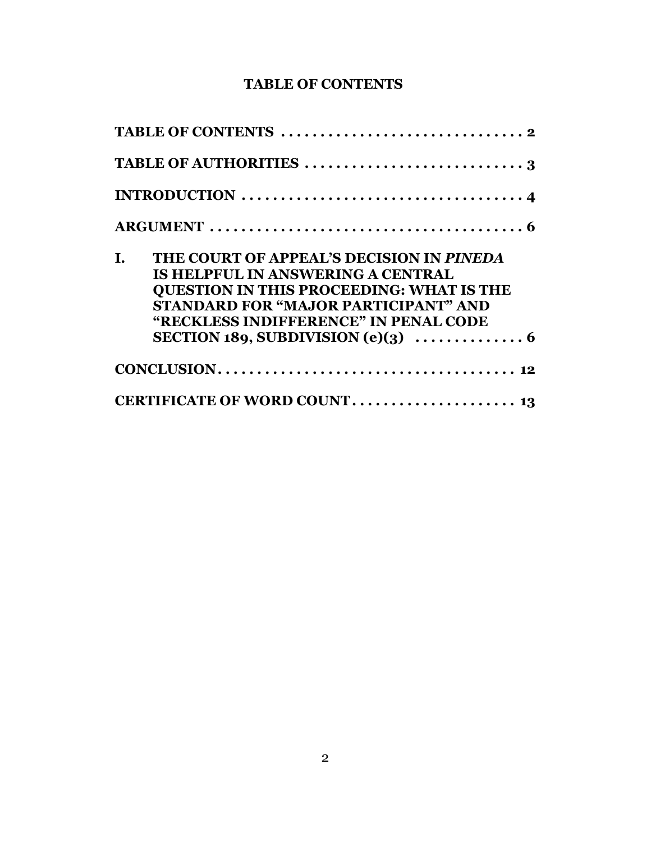### **TABLE OF CONTENTS**

| INTRODUCTION $\ldots \ldots \ldots \ldots \ldots \ldots \ldots \ldots \ldots \ldots \ldots$                                                                                                                                    |
|--------------------------------------------------------------------------------------------------------------------------------------------------------------------------------------------------------------------------------|
|                                                                                                                                                                                                                                |
| THE COURT OF APPEAL'S DECISION IN PINEDA<br>L.<br><b>IS HELPFUL IN ANSWERING A CENTRAL</b><br><b>QUESTION IN THIS PROCEEDING: WHAT IS THE</b><br>STANDARD FOR "MAJOR PARTICIPANT" AND<br>"RECKLESS INDIFFERENCE" IN PENAL CODE |
|                                                                                                                                                                                                                                |
|                                                                                                                                                                                                                                |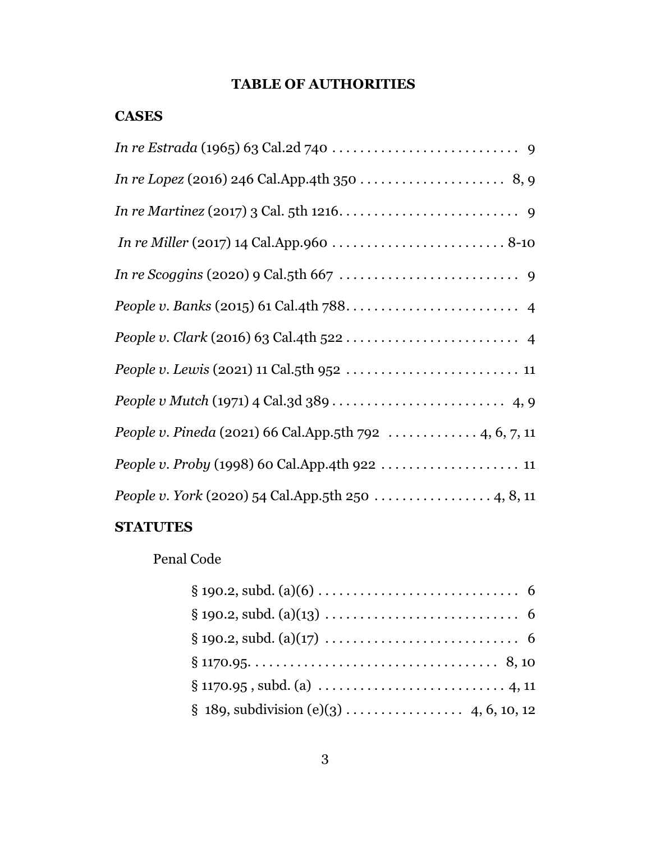# **TABLE OF AUTHORITIES**

| <b>CASES</b>                                            |
|---------------------------------------------------------|
|                                                         |
|                                                         |
|                                                         |
|                                                         |
|                                                         |
|                                                         |
|                                                         |
|                                                         |
|                                                         |
| People v. Pineda (2021) 66 Cal.App.5th 792  4, 6, 7, 11 |
|                                                         |
|                                                         |
|                                                         |

# **STATUTES**

# Penal Code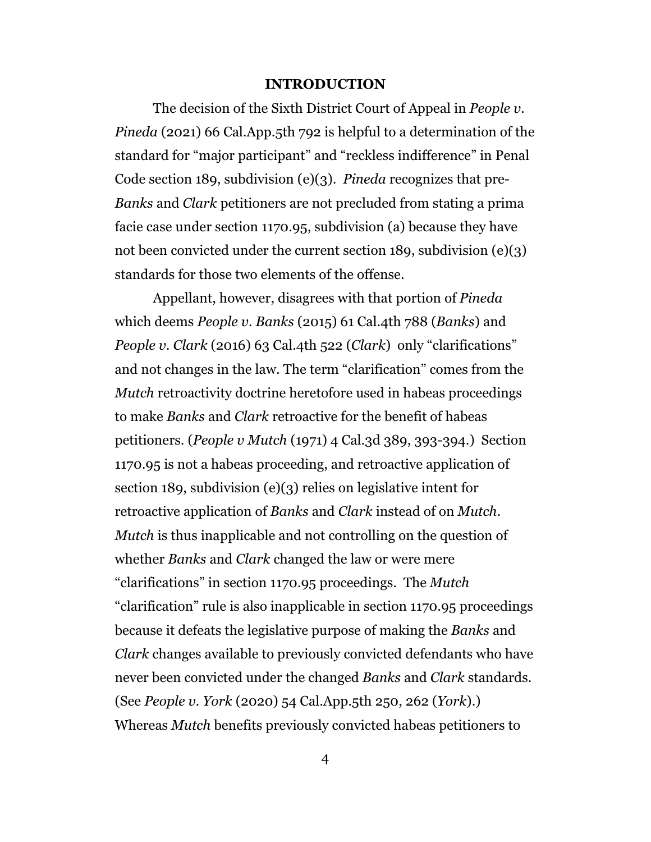#### **INTRODUCTION**

The decision of the Sixth District Court of Appeal in *People v. Pineda* (2021) 66 Cal.App.5th 792 is helpful to a determination of the standard for "major participant" and "reckless indifference" in Penal Code section 189, subdivision (e)(3). *Pineda* recognizes that pre-*Banks* and *Clark* petitioners are not precluded from stating a prima facie case under section 1170.95, subdivision (a) because they have not been convicted under the current section 189, subdivision (e)(3) standards for those two elements of the offense.

Appellant, however, disagrees with that portion of *Pineda* which deems *People v. Banks* (2015) 61 Cal.4th 788 (*Banks*) and *People v. Clark* (2016) 63 Cal.4th 522 (*Clark*) only "clarifications" and not changes in the law. The term "clarification" comes from the *Mutch* retroactivity doctrine heretofore used in habeas proceedings to make *Banks* and *Clark* retroactive for the benefit of habeas petitioners. (*People v Mutch* (1971) 4 Cal.3d 389, 393-394.) Section 1170.95 is not a habeas proceeding, and retroactive application of section 189, subdivision (e)(3) relies on legislative intent for retroactive application of *Banks* and *Clark* instead of on *Mutch*. *Mutch* is thus inapplicable and not controlling on the question of whether *Banks* and *Clark* changed the law or were mere "clarifications" in section 1170.95 proceedings. The *Mutch* "clarification" rule is also inapplicable in section 1170.95 proceedings because it defeats the legislative purpose of making the *Banks* and *Clark* changes available to previously convicted defendants who have never been convicted under the changed *Banks* and *Clark* standards. (See *People v. York* (2020) 54 Cal.App.5th 250, 262 (*York*).) Whereas *Mutch* benefits previously convicted habeas petitioners to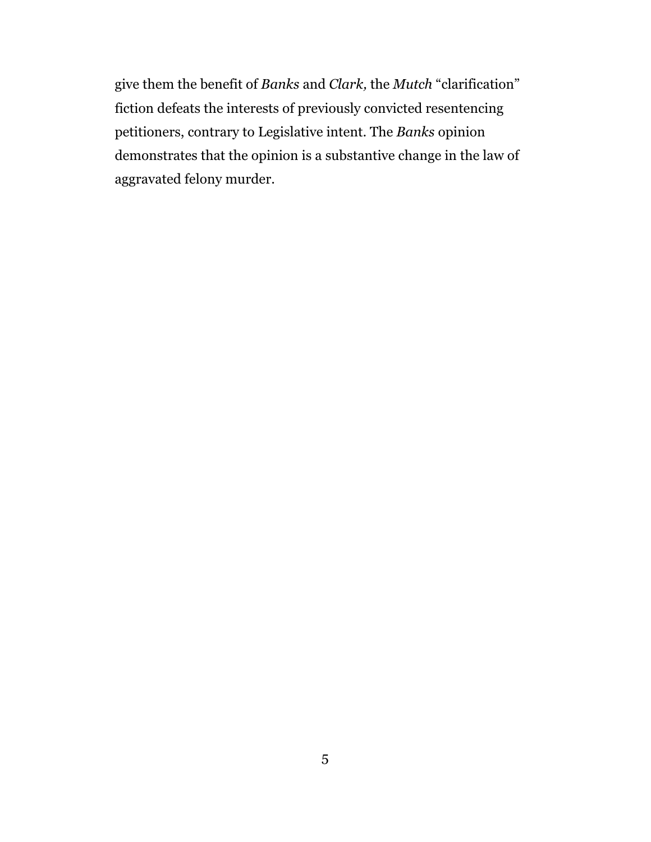give them the benefit of *Banks* and *Clark,* the *Mutch* "clarification" fiction defeats the interests of previously convicted resentencing petitioners, contrary to Legislative intent. The *Banks* opinion demonstrates that the opinion is a substantive change in the law of aggravated felony murder.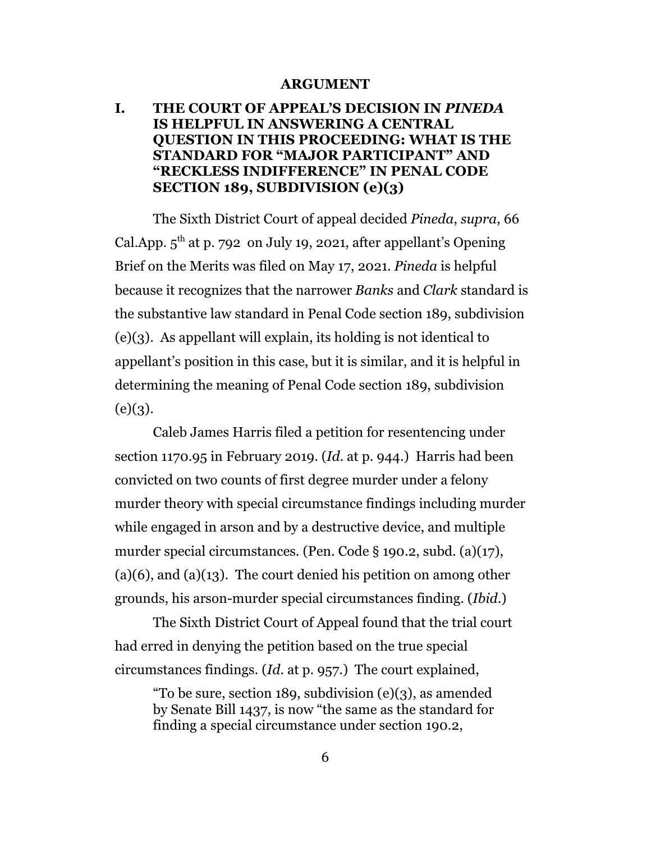#### **ARGUMENT**

#### **I. THE COURT OF APPEAL'S DECISION IN** *PINEDA* **IS HELPFUL IN ANSWERING A CENTRAL QUESTION IN THIS PROCEEDING: WHAT IS THE STANDARD FOR "MAJOR PARTICIPANT" AND "RECKLESS INDIFFERENCE" IN PENAL CODE SECTION 189, SUBDIVISION (e)(3)**

The Sixth District Court of appeal decided *Pineda*, *supra*, 66 Cal.App.  $5^{\text{th}}$  at p. 792 on July 19, 2021, after appellant's Opening Brief on the Merits was filed on May 17, 2021. *Pineda* is helpful because it recognizes that the narrower *Banks* and *Clark* standard is the substantive law standard in Penal Code section 189, subdivision (e)(3). As appellant will explain, its holding is not identical to appellant's position in this case, but it is similar, and it is helpful in determining the meaning of Penal Code section 189, subdivision  $(e)(3)$ .

Caleb James Harris filed a petition for resentencing under section 1170.95 in February 2019. (*Id*. at p. 944.) Harris had been convicted on two counts of first degree murder under a felony murder theory with special circumstance findings including murder while engaged in arson and by a destructive device, and multiple murder special circumstances. (Pen. Code § 190.2, subd. (a)(17),  $(a)(6)$ , and  $(a)(13)$ . The court denied his petition on among other grounds, his arson-murder special circumstances finding. (*Ibid*.)

The Sixth District Court of Appeal found that the trial court had erred in denying the petition based on the true special circumstances findings. (*Id*. at p. 957.) The court explained,

"To be sure, section 189, subdivision (e)(3), as amended by Senate Bill 1437, is now "the same as the standard for finding a special circumstance under section 190.2,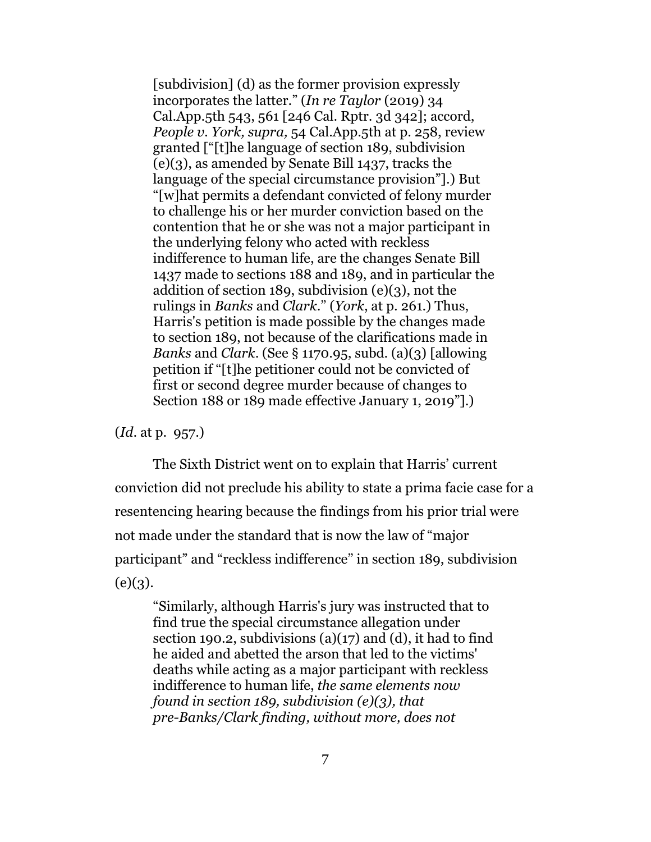[subdivision] (d) as the former provision expressly incorporates the latter." (*In re Taylor* (2019) 34 Cal.App.5th 543, 561 [246 Cal. Rptr. 3d 342]; accord, *People v. York, supra,* 54 Cal.App.5th at p. 258, review granted ["[t]he language of section 189, subdivision (e)(3), as amended by Senate Bill 1437, tracks the language of the special circumstance provision"].) But "[w]hat permits a defendant convicted of felony murder to challenge his or her murder conviction based on the contention that he or she was not a major participant in the underlying felony who acted with reckless indifference to human life, are the changes Senate Bill 1437 made to sections 188 and 189, and in particular the addition of section 189, subdivision (e)(3), not the rulings in *Banks* and *Clark*." (*York*, at p. 261.) Thus, Harris's petition is made possible by the changes made to section 189, not because of the clarifications made in *Banks* and *Clark*. (See § 1170.95, subd. (a)(3) [allowing petition if "[t]he petitioner could not be convicted of first or second degree murder because of changes to Section 188 or 189 made effective January 1, 2019"].)

(*Id*. at p. 957.)

The Sixth District went on to explain that Harris' current conviction did not preclude his ability to state a prima facie case for a resentencing hearing because the findings from his prior trial were not made under the standard that is now the law of "major participant" and "reckless indifference" in section 189, subdivision  $(e)(3)$ .

"Similarly, although Harris's jury was instructed that to find true the special circumstance allegation under section 190.2, subdivisions  $(a)(17)$  and  $(d)$ , it had to find he aided and abetted the arson that led to the victims' deaths while acting as a major participant with reckless indifference to human life, *the same elements now found in section 189, subdivision (e)(3), that pre-Banks/Clark finding, without more, does not*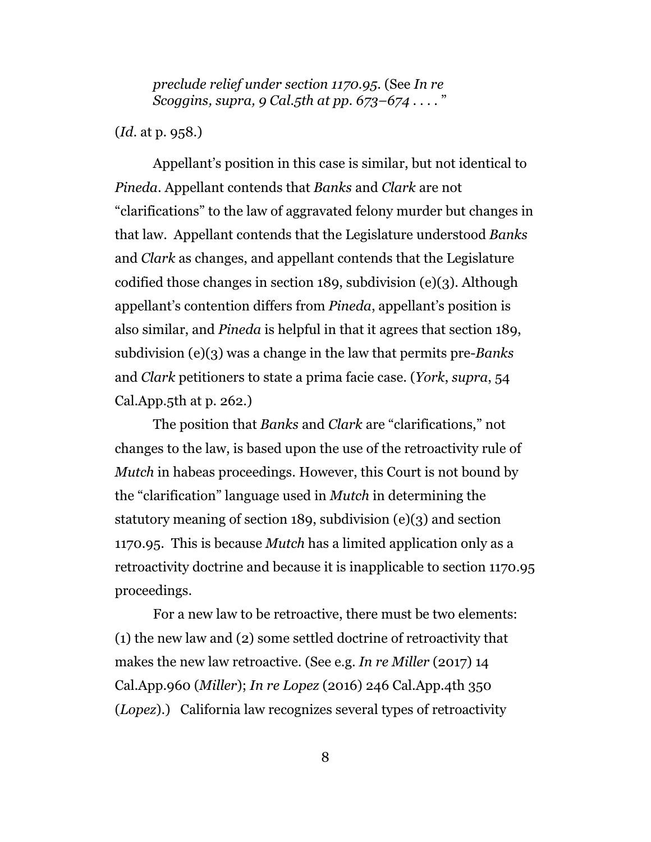*preclude relief under section 1170.95*. (See *In re Scoggins, supra, 9 Cal.5th at pp. 673–674* . . . . "

(*Id*. at p. 958.)

Appellant's position in this case is similar, but not identical to *Pineda*. Appellant contends that *Banks* and *Clark* are not "clarifications" to the law of aggravated felony murder but changes in that law. Appellant contends that the Legislature understood *Banks* and *Clark* as changes, and appellant contends that the Legislature codified those changes in section 189, subdivision (e)(3). Although appellant's contention differs from *Pineda*, appellant's position is also similar, and *Pineda* is helpful in that it agrees that section 189, subdivision (e)(3) was a change in the law that permits pre-*Banks* and *Clark* petitioners to state a prima facie case. (*York*, *supra*, 54 Cal.App.5th at p. 262.)

The position that *Banks* and *Clark* are "clarifications," not changes to the law, is based upon the use of the retroactivity rule of *Mutch* in habeas proceedings. However, this Court is not bound by the "clarification" language used in *Mutch* in determining the statutory meaning of section 189, subdivision (e)(3) and section 1170.95. This is because *Mutch* has a limited application only as a retroactivity doctrine and because it is inapplicable to section 1170.95 proceedings.

For a new law to be retroactive, there must be two elements: (1) the new law and (2) some settled doctrine of retroactivity that makes the new law retroactive. (See e.g. *In re Miller* (2017) 14 Cal.App.960 (*Miller*); *In re Lopez* (2016) 246 Cal.App.4th 350 (*Lopez*).) California law recognizes several types of retroactivity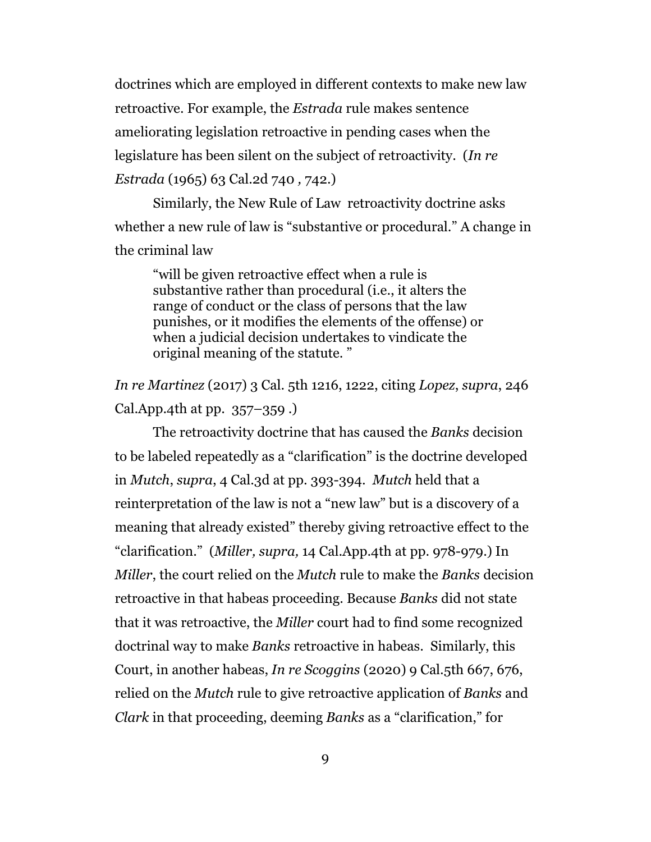doctrines which are employed in different contexts to make new law retroactive. For example, the *Estrada* rule makes sentence ameliorating legislation retroactive in pending cases when the legislature has been silent on the subject of retroactivity. (*In re Estrada* (1965) 63 Cal.2d 740 *,* 742.)

Similarly, the New Rule of Law retroactivity doctrine asks whether a new rule of law is "substantive or procedural." A change in the criminal law

"will be given retroactive effect when a rule is substantive rather than procedural (i.e., it alters the range of conduct or the class of persons that the law punishes, or it modifies the elements of the offense) or when a judicial decision undertakes to vindicate the original meaning of the statute. "

*In re Martinez* (2017) 3 Cal. 5th 1216, 1222, citing *Lopez*, *supra*, 246 Cal.App.4th at pp.  $357-359$ .

The retroactivity doctrine that has caused the *Banks* decision to be labeled repeatedly as a "clarification" is the doctrine developed in *Mutch*, *supra*, 4 Cal.3d at pp. 393-394. *Mutch* held that a reinterpretation of the law is not a "new law" but is a discovery of a meaning that already existed" thereby giving retroactive effect to the "clarification." (*Miller, supra,* 14 Cal.App.4th at pp. 978-979.) In *Miller*, the court relied on the *Mutch* rule to make the *Banks* decision retroactive in that habeas proceeding. Because *Banks* did not state that it was retroactive, the *Miller* court had to find some recognized doctrinal way to make *Banks* retroactive in habeas. Similarly, this Court, in another habeas, *In re Scoggins* (2020) 9 Cal.5th 667, 676, relied on the *Mutch* rule to give retroactive application of *Banks* and *Clark* in that proceeding, deeming *Banks* as a "clarification," for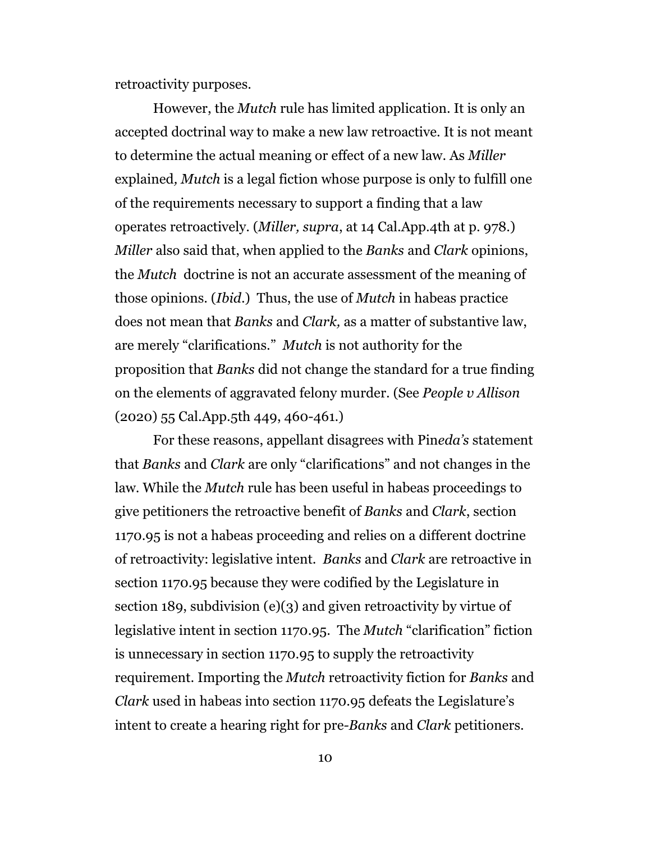retroactivity purposes.

However, the *Mutch* rule has limited application. It is only an accepted doctrinal way to make a new law retroactive. It is not meant to determine the actual meaning or effect of a new law. As *Miller* explained*, Mutch* is a legal fiction whose purpose is only to fulfill one of the requirements necessary to support a finding that a law operates retroactively. (*Miller, supra*, at 14 Cal.App.4th at p. 978.) *Miller* also said that, when applied to the *Banks* and *Clark* opinions, the *Mutch* doctrine is not an accurate assessment of the meaning of those opinions. (*Ibid*.) Thus, the use of *Mutch* in habeas practice does not mean that *Banks* and *Clark,* as a matter of substantive law, are merely "clarifications." *Mutch* is not authority for the proposition that *Banks* did not change the standard for a true finding on the elements of aggravated felony murder. (See *People v Allison* (2020) 55 Cal.App.5th 449, 460-461.)

For these reasons, appellant disagrees with Pin*eda's* statement that *Banks* and *Clark* are only "clarifications" and not changes in the law. While the *Mutch* rule has been useful in habeas proceedings to give petitioners the retroactive benefit of *Banks* and *Clark*, section 1170.95 is not a habeas proceeding and relies on a different doctrine of retroactivity: legislative intent. *Banks* and *Clark* are retroactive in section 1170.95 because they were codified by the Legislature in section 189, subdivision (e)(3) and given retroactivity by virtue of legislative intent in section 1170.95. The *Mutch* "clarification" fiction is unnecessary in section 1170.95 to supply the retroactivity requirement. Importing the *Mutch* retroactivity fiction for *Banks* and *Clark* used in habeas into section 1170.95 defeats the Legislature's intent to create a hearing right for pre*-Banks* and *Clark* petitioners.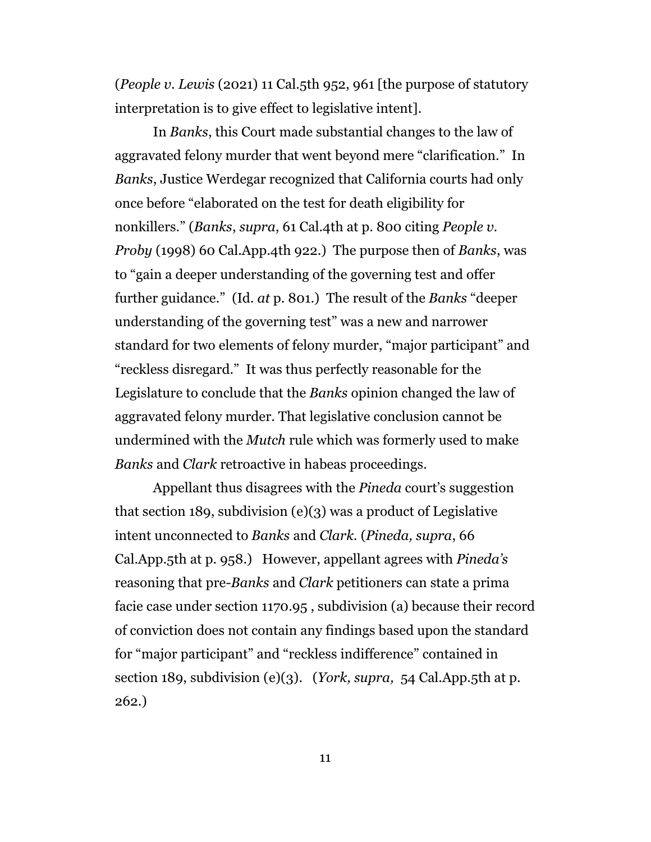(*People v. Lewis* (2021) 11 Cal.5th 952, 961 [the purpose of statutory interpretation is to give effect to legislative intent].

In *Banks*, this Court made substantial changes to the law of aggravated felony murder that went beyond mere "clarification." In *Banks*, Justice Werdegar recognized that California courts had only once before "elaborated on the test for death eligibility for nonkillers." (*Banks*, *supra*, 61 Cal.4th at p. 800 citing *People v. Proby* (1998) 60 Cal.App.4th 922.) The purpose then of *Banks*, was to "gain a deeper understanding of the governing test and offer further guidance." (Id*. at* p. 801.) The result of the *Banks* "deeper understanding of the governing test" was a new and narrower standard for two elements of felony murder, "major participant" and "reckless disregard." It was thus perfectly reasonable for the Legislature to conclude that the *Banks* opinion changed the law of aggravated felony murder. That legislative conclusion cannot be undermined with the *Mutch* rule which was formerly used to make *Banks* and *Clark* retroactive in habeas proceedings.

Appellant thus disagrees with the *Pineda* court's suggestion that section 189, subdivision (e)(3) was a product of Legislative intent unconnected to *Banks* and *Clark.* (*Pineda, supra*, 66 Cal.App.5th at p. 958.) However, appellant agrees with *Pineda's* reasoning that pre-*Banks* and *Clark* petitioners can state a prima facie case under section 1170.95 , subdivision (a) because their record of conviction does not contain any findings based upon the standard for "major participant" and "reckless indifference" contained in section 189, subdivision (e)(3). (*York, supra,* 54 Cal.App.5th at p. 262.)

11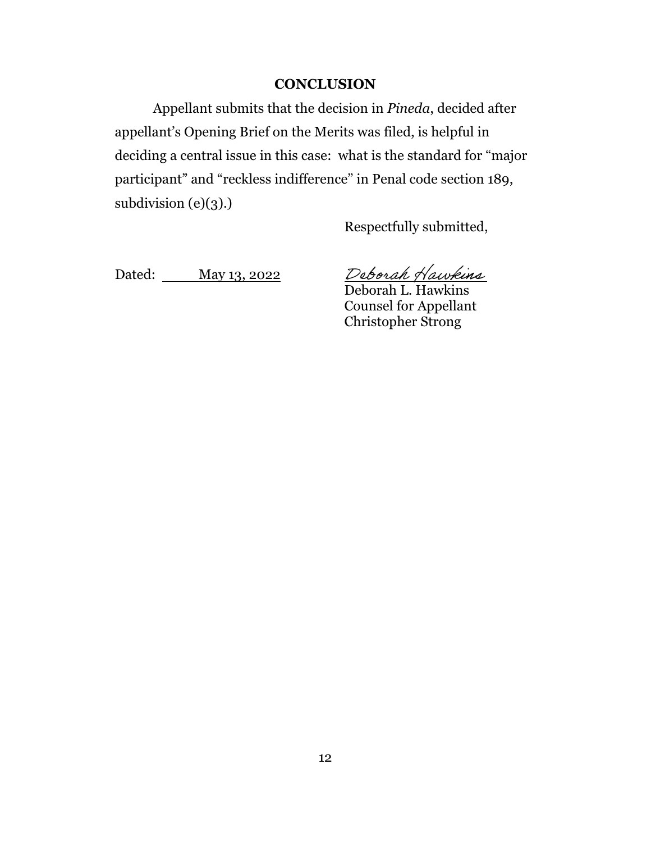#### **CONCLUSION**

Appellant submits that the decision in *Pineda*, decided after appellant's Opening Brief on the Merits was filed, is helpful in deciding a central issue in this case: what is the standard for "major participant" and "reckless indifference" in Penal code section 189, subdivision  $(e)(3)$ .)

Respectfully submitted,

Dated: May 13, 2022

Deb*orah Hawkins*<br>Deborah L. Hawkins

Counsel for Appellant Christopher Strong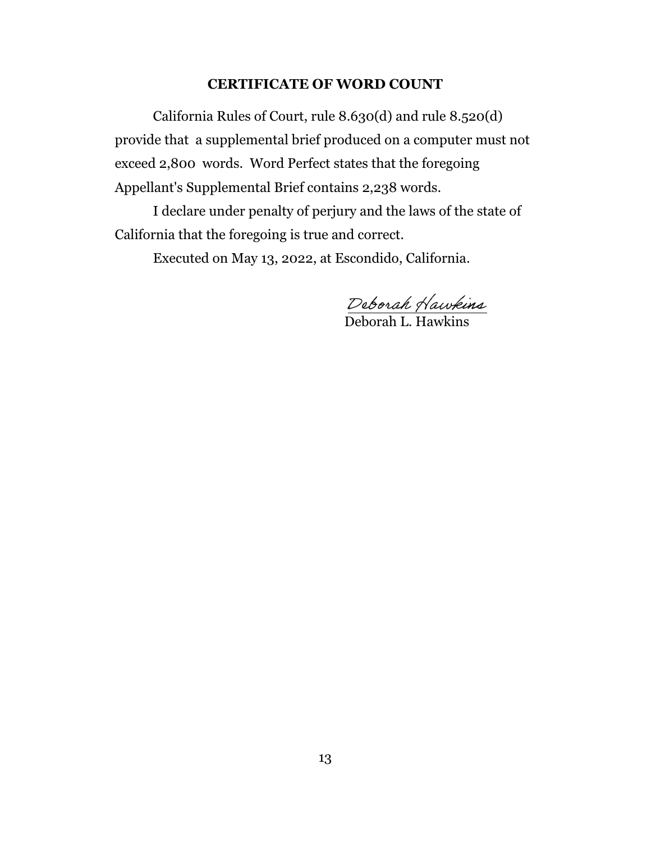#### **CERTIFICATE OF WORD COUNT**

California Rules of Court, rule 8.630(d) and rule 8.520(d) provide that a supplemental brief produced on a computer must not exceed 2,800 words. Word Perfect states that the foregoing Appellant's Supplemental Brief contains 2,238 words.

I declare under penalty of perjury and the laws of the state of California that the foregoing is true and correct.

Executed on May 13, 2022, at Escondido, California.

 $\overline{a}$ 

Deborah L. Hawkins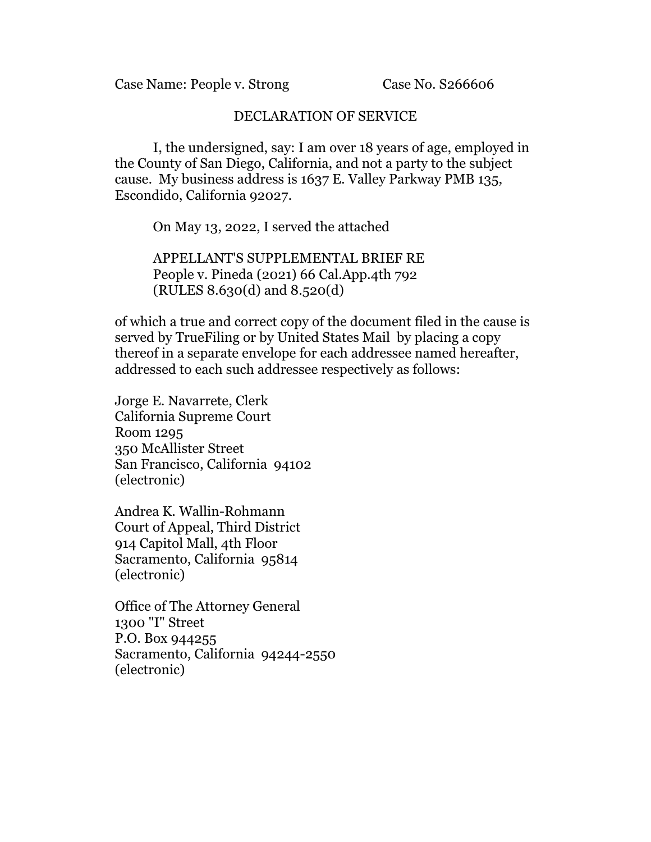Case Name: People v. Strong Case No. S266606

#### DECLARATION OF SERVICE

I, the undersigned, say: I am over 18 years of age, employed in the County of San Diego, California, and not a party to the subject cause. My business address is 1637 E. Valley Parkway PMB 135, Escondido, California 92027.

On May 13, 2022, I served the attached

APPELLANT'S SUPPLEMENTAL BRIEF RE People v. Pineda (2021) 66 Cal.App.4th 792 (RULES 8.630(d) and 8.520(d)

of which a true and correct copy of the document filed in the cause is served by TrueFiling or by United States Mail by placing a copy thereof in a separate envelope for each addressee named hereafter, addressed to each such addressee respectively as follows:

Jorge E. Navarrete, Clerk California Supreme Court Room 1295 350 McAllister Street San Francisco, California 94102 (electronic)

Andrea K. Wallin-Rohmann Court of Appeal, Third District 914 Capitol Mall, 4th Floor Sacramento, California 95814 (electronic)

Office of The Attorney General 1300 "I" Street P.O. Box 944255 Sacramento, California 94244-2550 (electronic)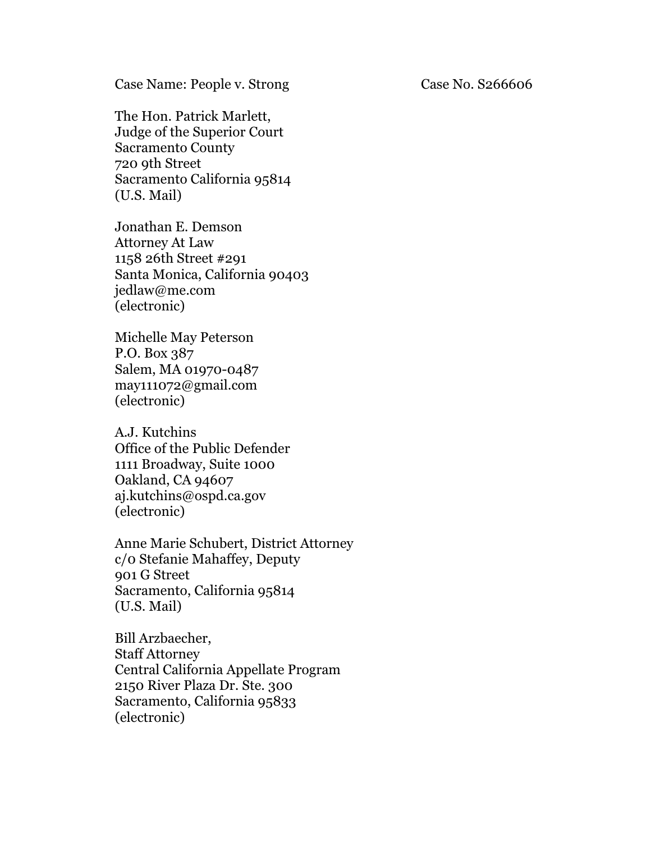Case Name: People v. Strong Case No. S266606

The Hon. Patrick Marlett, Judge of the Superior Court Sacramento County 720 9th Street Sacramento California 95814 (U.S. Mail)

Jonathan E. Demson Attorney At Law 1158 26th Street #291 Santa Monica, California 90403 jedlaw@me.com (electronic)

Michelle May Peterson P.O. Box 387 Salem, MA 01970-0487 may111072@gmail.com (electronic)

A.J. Kutchins Office of the Public Defender 1111 Broadway, Suite 1000 Oakland, CA 94607 aj.kutchins@ospd.ca.gov (electronic)

Anne Marie Schubert, District Attorney c/0 Stefanie Mahaffey, Deputy 901 G Street Sacramento, California 95814 (U.S. Mail)

Bill Arzbaecher, Staff Attorney Central California Appellate Program 2150 River Plaza Dr. Ste. 300 Sacramento, California 95833 (electronic)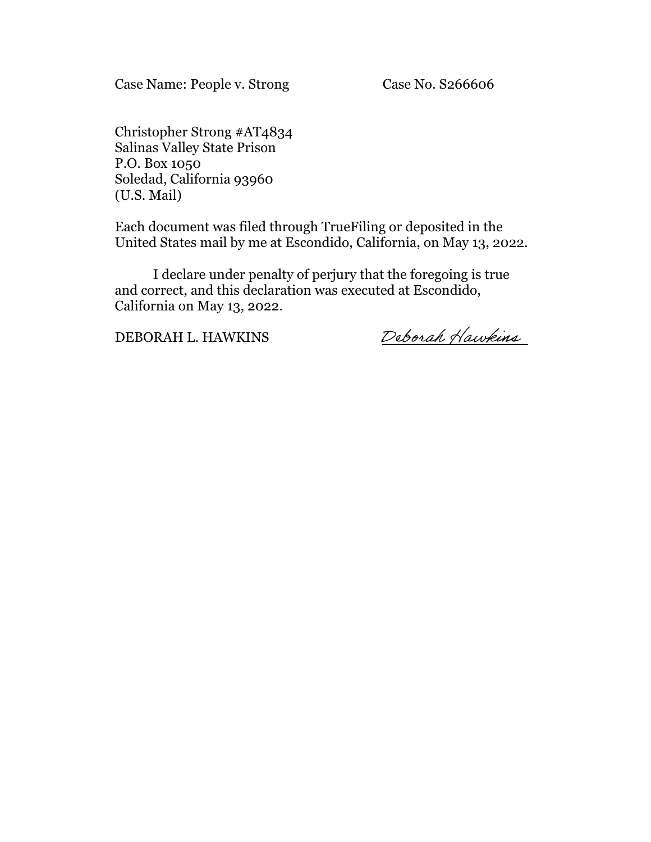Case Name: People v. Strong Case No. S266606

Christopher Strong #AT4834 Salinas Valley State Prison P.O. Box 1050 Soledad, California 93960 (U.S. Mail)

Each document was filed through TrueFiling or deposited in the United States mail by me at Escondido, California, on May 13, 2022.

I declare under penalty of perjury that the foregoing is true and correct, and this declaration was executed at Escondido, California on May 13, 2022.

DEBORAH L. HAWKINS

Deborah Hawkins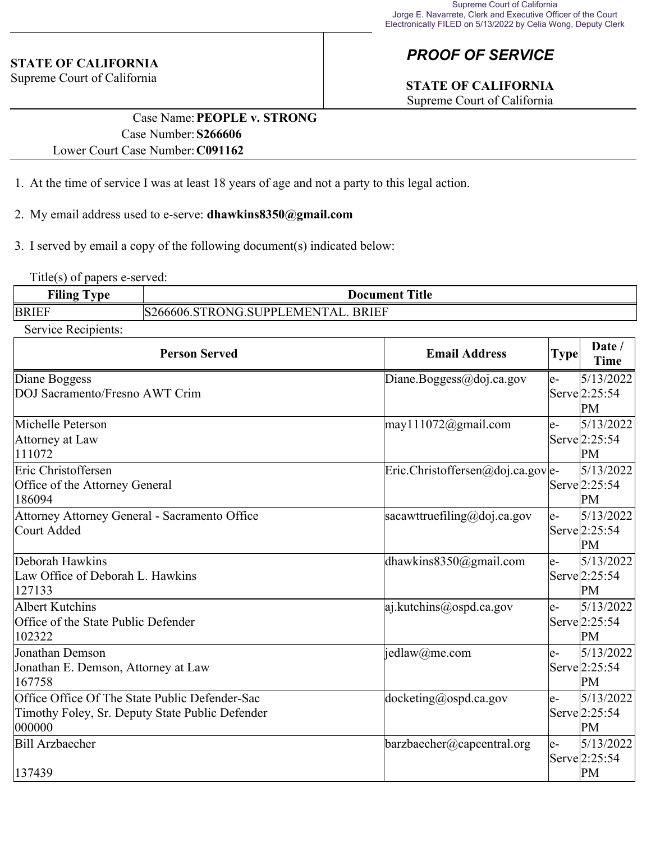#### **STATE OF CALIFORNIA**

Supreme Court of California

# *PROOF OF SERVICE*

# **STATE OF CALIFORNIA**

Supreme Court of California

#### Case Name:**PEOPLE v. STRONG** Case Number:**S266606** Lower Court Case Number:**C091162**

- 1. At the time of service I was at least 18 years of age and not a party to this legal action.
- 2. My email address used to e-serve: **dhawkins8350@gmail.com**
- 3. I served by email a copy of the following document(s) indicated below:

Title(s) of papers e-served:

| $\overline{\phantom{a}}$ | .                                                                     |
|--------------------------|-----------------------------------------------------------------------|
| vpe                      | ntle                                                                  |
| r iling                  | Docur                                                                 |
|                          | rument                                                                |
| <b>BRIEF</b>             | <b>BRIEF</b><br>EMEN<br>''I`A I<br>"TRONG SUPPL.<br>$\theta$<br>7666L |

Service Recipients:

| <b>Person Served</b>                                                                                        | <b>Email Address</b>                                                | Type | Date /<br><b>Time</b>                          |
|-------------------------------------------------------------------------------------------------------------|---------------------------------------------------------------------|------|------------------------------------------------|
| Diane Boggess<br>DOJ Sacramento/Fresno AWT Crim                                                             | Diane.Boggess@doj.ca.gov                                            | $e-$ | 5/13/2022<br>Serve <sup>[2:25:54]</sup><br>PM  |
| Michelle Peterson<br>Attorney at Law<br>111072                                                              | $\text{may}111072$ @gmail.com                                       | le-  | 5/13/2022<br>Serve <sup>[2:25:54]</sup><br>PM  |
| Eric Christoffersen<br>Office of the Attorney General<br>186094                                             | $\text{Eric.Christoffersen} @ \text{doj.ca.gov} \text{ }e-\text{ }$ |      | 5/13/2022<br>Serve <sup>[2:25:54]</sup><br>PM  |
| Attorney Attorney General - Sacramento Office<br>Court Added                                                | sacawttruefiling@doj.ca.gov                                         | le-  | 5/13/2022<br>Serve 2:25:54<br>PM               |
| Deborah Hawkins<br>Law Office of Deborah L. Hawkins<br>127133                                               | dhawkins8350@gmail.com                                              | le-  | 5/13/2022<br>Serve <sup>[2:25:54]</sup><br>PM  |
| Albert Kutchins<br>Office of the State Public Defender<br>102322                                            | aj.kutchins@ospd.ca.gov                                             | $e-$ | 5/13/2022<br>Serve 2:25:54<br>PM               |
| Jonathan Demson<br>Jonathan E. Demson, Attorney at Law<br>167758                                            | jedlaw@me.com                                                       | $e-$ | 5/13/2022<br>Serve 2:25:54<br>PM               |
| Office Office Of The State Public Defender-Sac<br>Timothy Foley, Sr. Deputy State Public Defender<br>000000 | $doeketing(\omega)$ ospd.ca.gov                                     | le-  | 5/13/2022<br>$\text{Serve}\vert 2:25:54$<br>PM |
| Bill Arzbaecher<br>137439                                                                                   | barzbaecher@capcentral.org                                          | le-  | 5/13/2022<br>Serve $2:25:54$<br>PM             |